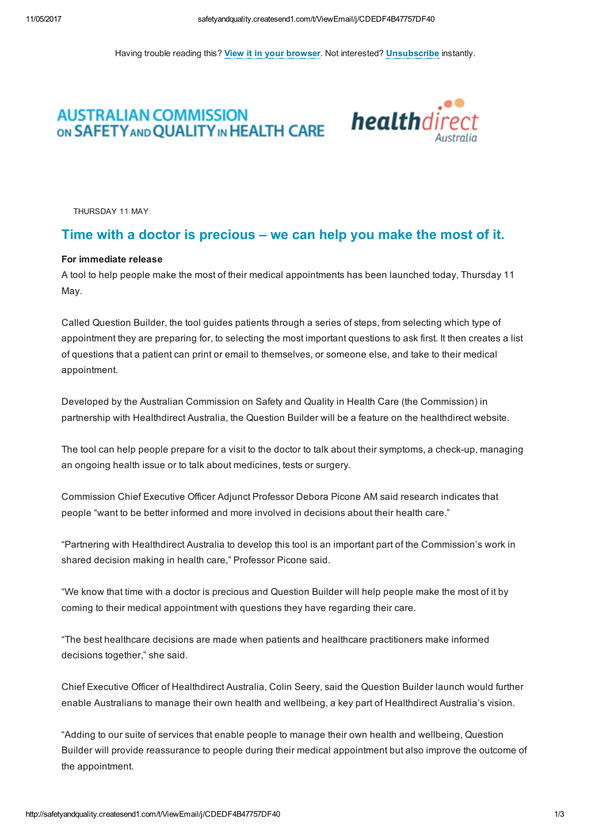Having trouble reading this? View it in your [browser.](http://safetyandquality.createsend1.com/t/j-e-uihkkkt-l-r/) Not interested? [Unsubscribe](http://safetyandquality.createsend1.com/t/j-u-uihkkkt-l-y/) instantly.

# **AUSTRALIAN COMMISSION** ON SAFETY AND QUALITY IN HEALTH CARE



THURSDAY 11 MAY

# Time with a doctor is precious – we can help you make the most of it.

## For immediate release

A tool to help people make the most of their medical appointments has been launched today, Thursday 11 May.

Called Question Builder, the tool guides patients through a series of steps, from selecting which type of appointment they are preparing for, to selecting the most important questions to ask first. It then creates a list of questions that a patient can print or email to themselves, or someone else, and take to their medical appointment.

Developed by the Australian Commission on Safety and Quality in Health Care (the Commission) in partnership with Healthdirect Australia, the Question Builder will be a feature on the healthdirect website.

The tool can help people prepare for a visit to the doctor to talk about their symptoms, a check-up, managing an ongoing health issue or to talk about medicines, tests or surgery.

Commission Chief Executive Officer Adjunct Professor Debora Picone AM said research indicates that people "want to be better informed and more involved in decisions about their health care."

"Partnering with Healthdirect Australia to develop this tool is an important part of the Commission's work in shared decision making in health care," Professor Picone said.

"We know that time with a doctor is precious and Question Builder will help people make the most of it by coming to their medical appointment with questions they have regarding their care.

"The best healthcare decisions are made when patients and healthcare practitioners make informed decisions together," she said.

Chief Executive Officer of Healthdirect Australia, Colin Seery, said the Question Builder launch would further enable Australians to manage their own health and wellbeing, a key part of Healthdirect Australia's vision.

"Adding to our suite of services that enable people to manage their own health and wellbeing, Question Builder will provide reassurance to people during their medical appointment but also improve the outcome of the appointment.